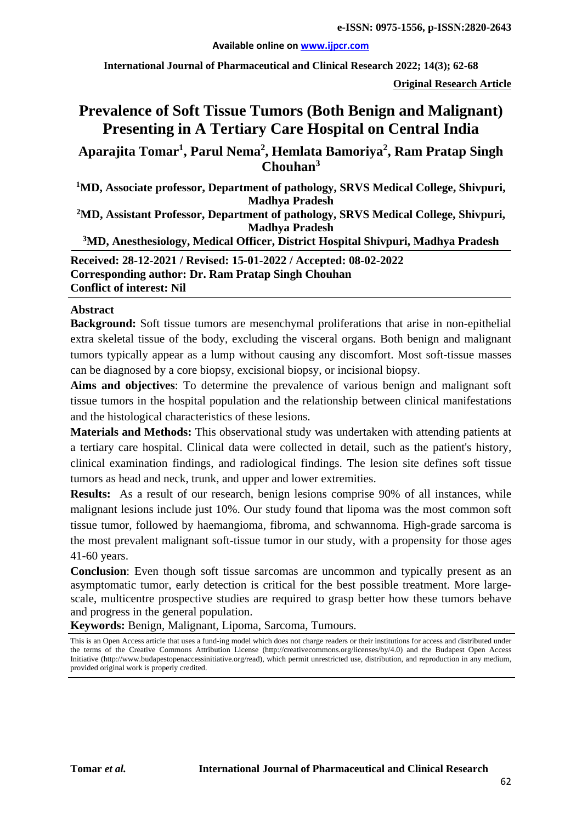#### **Available online on [www.ijpcr.com](http://www.ijpcr.com/)**

**International Journal of Pharmaceutical and Clinical Research 2022; 14(3); 62-68**

**Original Research Article**

# **Prevalence of Soft Tissue Tumors (Both Benign and Malignant) Presenting in A Tertiary Care Hospital on Central India**

**Aparajita Tomar1 , Parul Nema<sup>2</sup> , Hemlata Bamoriya<sup>2</sup> , Ram Pratap Singh Chouhan3**

**1 MD, Associate professor, Department of pathology, SRVS Medical College, Shivpuri, Madhya Pradesh**

**2 MD, Assistant Professor, Department of pathology, SRVS Medical College, Shivpuri, Madhya Pradesh**

**3 MD, Anesthesiology, Medical Officer, District Hospital Shivpuri, Madhya Pradesh**

**Received: 28-12-2021 / Revised: 15-01-2022 / Accepted: 08-02-2022 Corresponding author: Dr. Ram Pratap Singh Chouhan Conflict of interest: Nil**

#### **Abstract**

**Background:** Soft tissue tumors are mesenchymal proliferations that arise in non-epithelial extra skeletal tissue of the body, excluding the visceral organs. Both benign and malignant tumors typically appear as a lump without causing any discomfort. Most soft-tissue masses can be diagnosed by a core biopsy, excisional biopsy, or incisional biopsy.

**Aims and objectives**: To determine the prevalence of various benign and malignant soft tissue tumors in the hospital population and the relationship between clinical manifestations and the histological characteristics of these lesions.

**Materials and Methods:** This observational study was undertaken with attending patients at a tertiary care hospital. Clinical data were collected in detail, such as the patient's history, clinical examination findings, and radiological findings. The lesion site defines soft tissue tumors as head and neck, trunk, and upper and lower extremities.

**Results:** As a result of our research, benign lesions comprise 90% of all instances, while malignant lesions include just 10%. Our study found that lipoma was the most common soft tissue tumor, followed by haemangioma, fibroma, and schwannoma. High-grade sarcoma is the most prevalent malignant soft-tissue tumor in our study, with a propensity for those ages 41-60 years.

**Conclusion**: Even though soft tissue sarcomas are uncommon and typically present as an asymptomatic tumor, early detection is critical for the best possible treatment. More largescale, multicentre prospective studies are required to grasp better how these tumors behave and progress in the general population.

**Keywords:** Benign, Malignant, Lipoma, Sarcoma, Tumours.

This is an Open Access article that uses a fund-ing model which does not charge readers or their institutions for access and distributed under the terms of the Creative Commons Attribution License (http://creativecommons.org/licenses/by/4.0) and the Budapest Open Access Initiative (http://www.budapestopenaccessinitiative.org/read), which permit unrestricted use, distribution, and reproduction in any medium, provided original work is properly credited.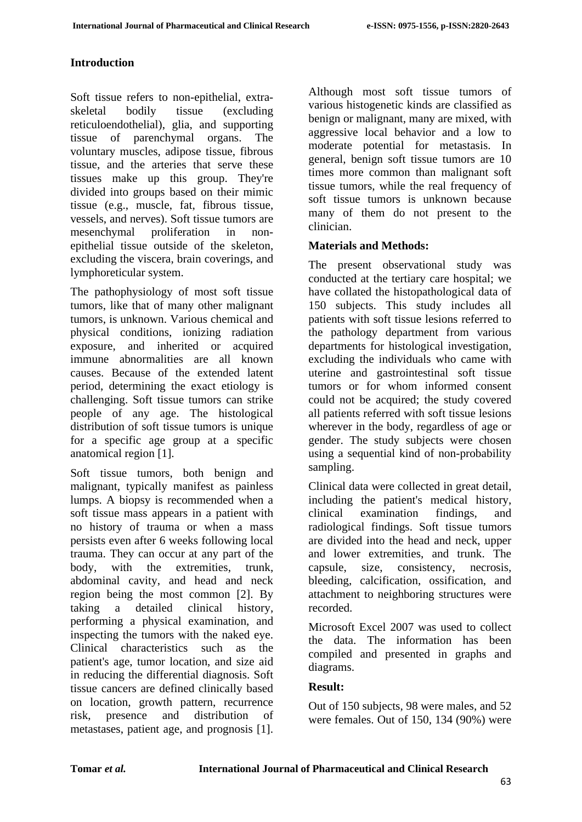#### **Introduction**

Soft tissue refers to non-epithelial, extraskeletal bodily tissue (excluding reticuloendothelial), glia, and supporting tissue of parenchymal organs. The voluntary muscles, adipose tissue, fibrous tissue, and the arteries that serve these tissues make up this group. They're divided into groups based on their mimic tissue (e.g., muscle, fat, fibrous tissue, vessels, and nerves). Soft tissue tumors are mesenchymal proliferation in nonepithelial tissue outside of the skeleton, excluding the viscera, brain coverings, and lymphoreticular system.

The pathophysiology of most soft tissue tumors, like that of many other malignant tumors, is unknown. Various chemical and physical conditions, ionizing radiation exposure, and inherited or acquired immune abnormalities are all known causes. Because of the extended latent period, determining the exact etiology is challenging. Soft tissue tumors can strike people of any age. The histological distribution of soft tissue tumors is unique for a specific age group at a specific anatomical region [1].

Soft tissue tumors, both benign and malignant, typically manifest as painless lumps. A biopsy is recommended when a soft tissue mass appears in a patient with no history of trauma or when a mass persists even after 6 weeks following local trauma. They can occur at any part of the body, with the extremities, trunk, abdominal cavity, and head and neck region being the most common [2]. By taking a detailed clinical history, performing a physical examination, and inspecting the tumors with the naked eye. Clinical characteristics such as the patient's age, tumor location, and size aid in reducing the differential diagnosis. Soft tissue cancers are defined clinically based on location, growth pattern, recurrence risk, presence and distribution of metastases, patient age, and prognosis [1].

Although most soft tissue tumors of various histogenetic kinds are classified as benign or malignant, many are mixed, with aggressive local behavior and a low to moderate potential for metastasis. In general, benign soft tissue tumors are 10 times more common than malignant soft tissue tumors, while the real frequency of soft tissue tumors is unknown because many of them do not present to the clinician.

### **Materials and Methods:**

The present observational study was conducted at the tertiary care hospital; we have collated the histopathological data of 150 subjects. This study includes all patients with soft tissue lesions referred to the pathology department from various departments for histological investigation, excluding the individuals who came with uterine and gastrointestinal soft tissue tumors or for whom informed consent could not be acquired; the study covered all patients referred with soft tissue lesions wherever in the body, regardless of age or gender. The study subjects were chosen using a sequential kind of non-probability sampling.

Clinical data were collected in great detail, including the patient's medical history, clinical examination findings, and radiological findings. Soft tissue tumors are divided into the head and neck, upper and lower extremities, and trunk. The capsule, size, consistency, necrosis, bleeding, calcification, ossification, and attachment to neighboring structures were recorded.

Microsoft Excel 2007 was used to collect the data. The information has been compiled and presented in graphs and diagrams.

### **Result:**

Out of 150 subjects, 98 were males, and 52 were females. Out of 150, 134 (90%) were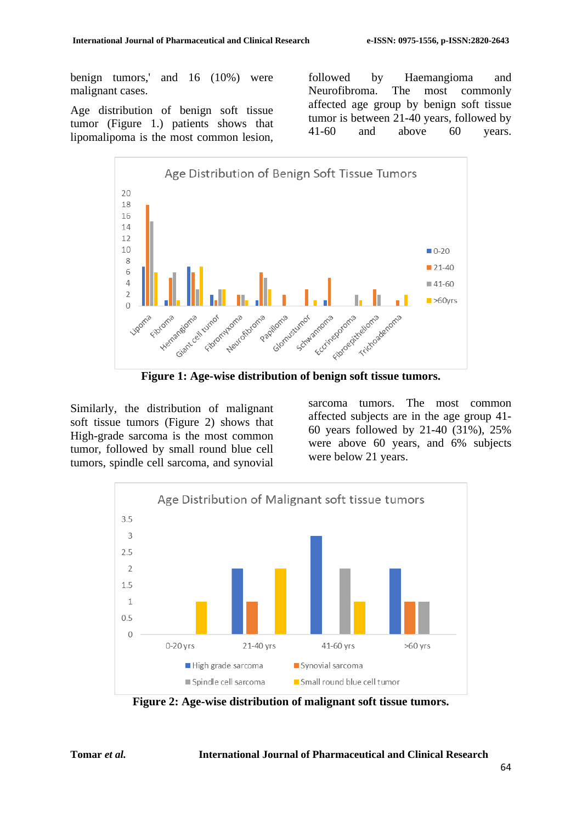benign tumors,' and 16 (10%) were malignant cases.

Age distribution of benign soft tissue tumor (Figure 1.) patients shows that lipomalipoma is the most common lesion, followed by Haemangioma and Neurofibroma. The most commonly affected age group by benign soft tissue tumor is between 21-40 years, followed by 41-60 and above 60 years.



**Figure 1: Age-wise distribution of benign soft tissue tumors.**

Similarly, the distribution of malignant soft tissue tumors (Figure 2) shows that High-grade sarcoma is the most common tumor, followed by small round blue cell tumors, spindle cell sarcoma, and synovial

sarcoma tumors. The most common affected subjects are in the age group 41- 60 years followed by 21-40 (31%), 25% were above 60 years, and 6% subjects were below 21 years.



**Figure 2: Age-wise distribution of malignant soft tissue tumors.**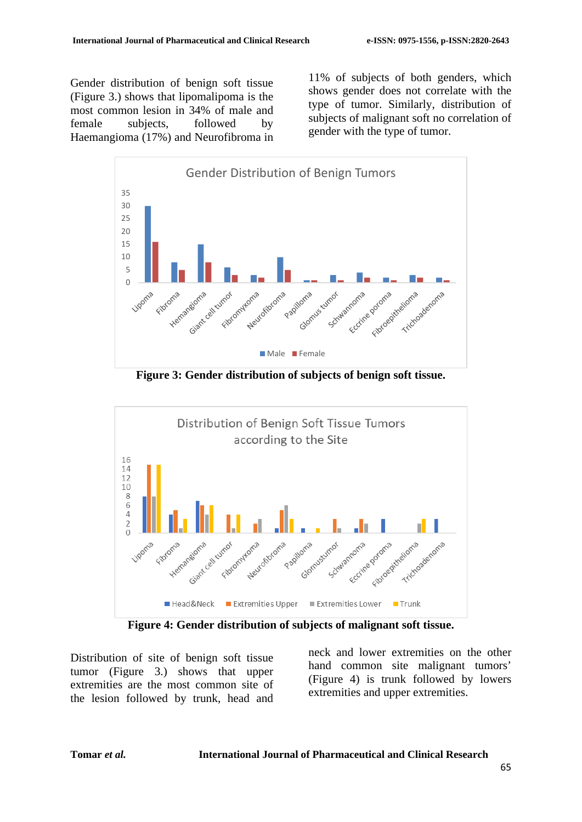Gender distribution of benign soft tissue (Figure 3.) shows that lipomalipoma is the most common lesion in 34% of male and female subjects, followed by Haemangioma (17%) and Neurofibroma in 11% of subjects of both genders, which shows gender does not correlate with the type of tumor. Similarly, distribution of subjects of malignant soft no correlation of gender with the type of tumor.



**Figure 3: Gender distribution of subjects of benign soft tissue.**



**Figure 4: Gender distribution of subjects of malignant soft tissue.**

Distribution of site of benign soft tissue tumor (Figure 3.) shows that upper extremities are the most common site of the lesion followed by trunk, head and neck and lower extremities on the other hand common site malignant tumors' (Figure 4) is trunk followed by lowers extremities and upper extremities.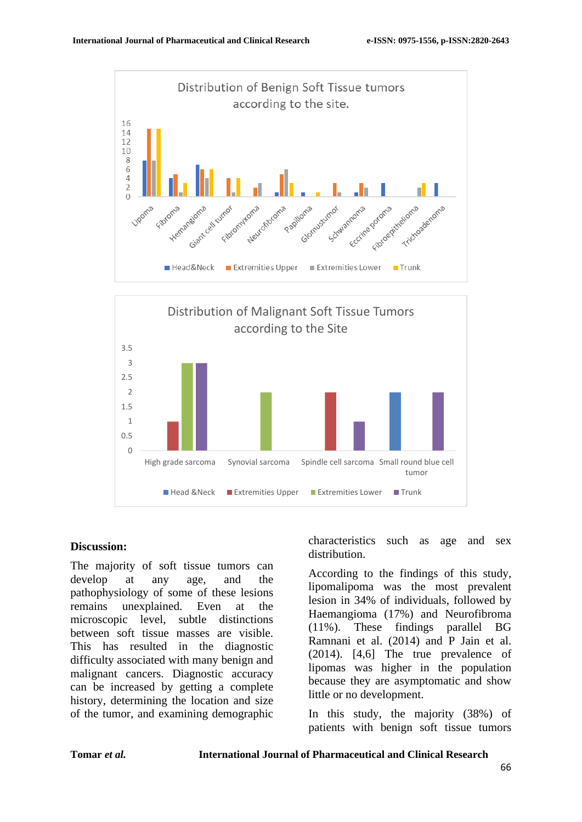



#### **Discussion:**

The majority of soft tissue tumors can develop at any age, and the pathophysiology of some of these lesions remains unexplained. Even at the microscopic level, subtle distinctions between soft tissue masses are visible. This has resulted in the diagnostic difficulty associated with many benign and malignant cancers. Diagnostic accuracy can be increased by getting a complete history, determining the location and size of the tumor, and examining demographic

characteristics such as age and sex distribution.

According to the findings of this study, lipomalipoma was the most prevalent lesion in 34% of individuals, followed by Haemangioma (17%) and Neurofibroma (11%). These findings parallel BG Ramnani et al. (2014) and P Jain et al. (2014). [4,6] The true prevalence of lipomas was higher in the population because they are asymptomatic and show little or no development.

In this study, the majority (38%) of patients with benign soft tissue tumors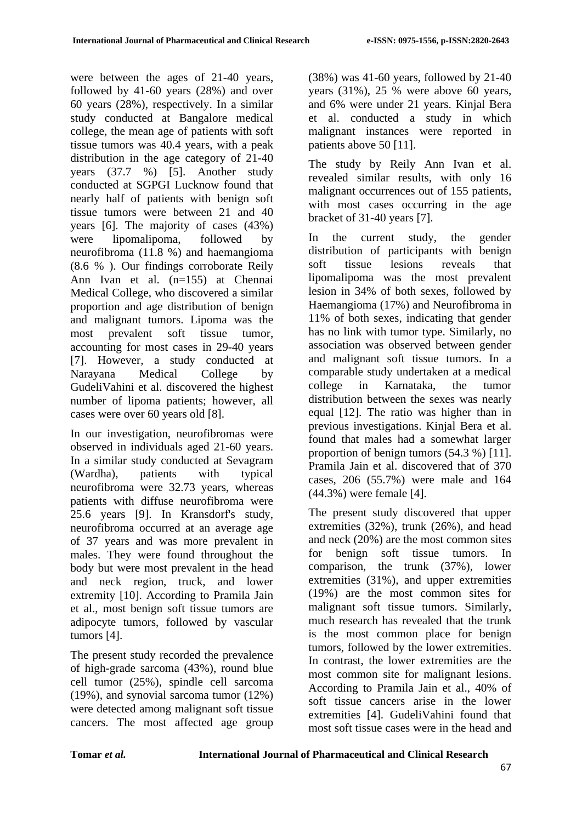were between the ages of 21-40 years, followed by 41-60 years (28%) and over 60 years (28%), respectively. In a similar study conducted at Bangalore medical college, the mean age of patients with soft tissue tumors was 40.4 years, with a peak distribution in the age category of 21-40 years (37.7 %) [5]. Another study conducted at SGPGI Lucknow found that nearly half of patients with benign soft tissue tumors were between 21 and 40 years [6]. The majority of cases (43%) were lipomalipoma, followed by neurofibroma (11.8 %) and haemangioma (8.6 % ). Our findings corroborate Reily Ann Ivan et al. (n=155) at Chennai Medical College, who discovered a similar proportion and age distribution of benign and malignant tumors. Lipoma was the most prevalent soft tissue tumor, accounting for most cases in 29-40 years [7]. However, a study conducted at Narayana Medical College by GudeliVahini et al. discovered the highest number of lipoma patients; however, all cases were over 60 years old [8].

In our investigation, neurofibromas were observed in individuals aged 21-60 years. In a similar study conducted at Sevagram (Wardha), patients with typical neurofibroma were 32.73 years, whereas patients with diffuse neurofibroma were 25.6 years [9]. In Kransdorf's study, neurofibroma occurred at an average age of 37 years and was more prevalent in males. They were found throughout the body but were most prevalent in the head and neck region, truck, and lower extremity [10]. According to Pramila Jain et al., most benign soft tissue tumors are adipocyte tumors, followed by vascular tumors [4].

The present study recorded the prevalence of high-grade sarcoma (43%), round blue cell tumor (25%), spindle cell sarcoma (19%), and synovial sarcoma tumor (12%) were detected among malignant soft tissue cancers. The most affected age group

(38%) was 41-60 years, followed by 21-40 years (31%), 25 % were above 60 years, and 6% were under 21 years. Kinjal Bera et al. conducted a study in which malignant instances were reported in patients above 50 [11].

The study by Reily Ann Ivan et al. revealed similar results, with only 16 malignant occurrences out of 155 patients, with most cases occurring in the age bracket of 31-40 years [7].

In the current study, the gender distribution of participants with benign soft tissue lesions reveals that lipomalipoma was the most prevalent lesion in 34% of both sexes, followed by Haemangioma (17%) and Neurofibroma in 11% of both sexes, indicating that gender has no link with tumor type. Similarly, no association was observed between gender and malignant soft tissue tumors. In a comparable study undertaken at a medical college in Karnataka, the tumor distribution between the sexes was nearly equal [12]. The ratio was higher than in previous investigations. Kinjal Bera et al. found that males had a somewhat larger proportion of benign tumors (54.3 %) [11]. Pramila Jain et al. discovered that of 370 cases, 206 (55.7%) were male and 164 (44.3%) were female [4].

The present study discovered that upper extremities (32%), trunk (26%), and head and neck (20%) are the most common sites for benign soft tissue tumors. In comparison, the trunk (37%), lower extremities (31%), and upper extremities (19%) are the most common sites for malignant soft tissue tumors. Similarly, much research has revealed that the trunk is the most common place for benign tumors, followed by the lower extremities. In contrast, the lower extremities are the most common site for malignant lesions. According to Pramila Jain et al., 40% of soft tissue cancers arise in the lower extremities [4]. GudeliVahini found that most soft tissue cases were in the head and